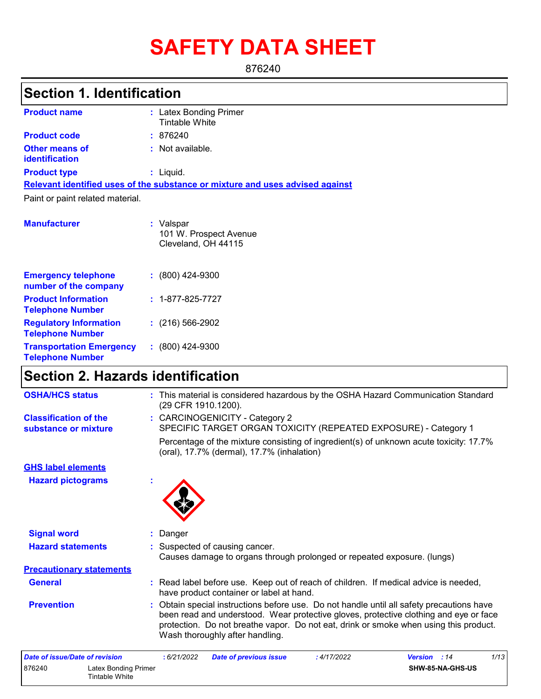# **SAFETY DATA SHEET**

876240

# **Section 1. Identification**

| <b>Product name</b>                     | : Latex Bonding Primer<br>Tintable White                                      |
|-----------------------------------------|-------------------------------------------------------------------------------|
| <b>Product code</b>                     | :876240                                                                       |
| <b>Other means of</b><br>identification | : Not available.                                                              |
| <b>Product type</b>                     | : Liquid.                                                                     |
|                                         | Relevant identified uses of the substance or mixture and uses advised against |
| Paint or paint related material.        |                                                                               |
| <b>Manufacturer</b>                     | : Valspar<br>101 W. Prospect Avenue<br>Cleveland, OH 44115                    |

| <b>Emergency telephone</b><br>number of the company        | $: (800)$ 424-9300       |
|------------------------------------------------------------|--------------------------|
| <b>Product Information</b><br><b>Telephone Number</b>      | $: 1 - 877 - 825 - 7727$ |
| <b>Regulatory Information</b><br><b>Telephone Number</b>   | $(216)$ 566-2902         |
| <b>Transportation Emergency</b><br><b>Telephone Number</b> | $: (800)$ 424-9300       |

# **Section 2. Hazards identification**

| <b>OSHA/HCS status</b>                               | : This material is considered hazardous by the OSHA Hazard Communication Standard<br>(29 CFR 1910.1200).                                                                                                                                                                                                       |
|------------------------------------------------------|----------------------------------------------------------------------------------------------------------------------------------------------------------------------------------------------------------------------------------------------------------------------------------------------------------------|
| <b>Classification of the</b><br>substance or mixture | : CARCINOGENICITY - Category 2<br>SPECIFIC TARGET ORGAN TOXICITY (REPEATED EXPOSURE) - Category 1                                                                                                                                                                                                              |
|                                                      | Percentage of the mixture consisting of ingredient(s) of unknown acute toxicity: 17.7%<br>(oral), 17.7% (dermal), 17.7% (inhalation)                                                                                                                                                                           |
| <b>GHS label elements</b>                            |                                                                                                                                                                                                                                                                                                                |
| <b>Hazard pictograms</b>                             |                                                                                                                                                                                                                                                                                                                |
| <b>Signal word</b>                                   | : Danger                                                                                                                                                                                                                                                                                                       |
| <b>Hazard statements</b>                             | : Suspected of causing cancer.<br>Causes damage to organs through prolonged or repeated exposure. (lungs)                                                                                                                                                                                                      |
| <b>Precautionary statements</b>                      |                                                                                                                                                                                                                                                                                                                |
| <b>General</b>                                       | : Read label before use. Keep out of reach of children. If medical advice is needed,<br>have product container or label at hand.                                                                                                                                                                               |
| <b>Prevention</b>                                    | : Obtain special instructions before use. Do not handle until all safety precautions have<br>been read and understood. Wear protective gloves, protective clothing and eye or face<br>protection. Do not breathe vapor. Do not eat, drink or smoke when using this product.<br>Wash thoroughly after handling. |
| Date of issue/Date of revision                       | 1/13<br>: 6/21/2022<br>: 4/17/2022<br><b>Date of previous issue</b><br><b>Version</b><br>: 14                                                                                                                                                                                                                  |

| 876240<br>Latex Bonding Primer<br>Tintable White | <b>Version</b> : 14     |
|--------------------------------------------------|-------------------------|
|                                                  | <b>SHW-85-NA-GHS-US</b> |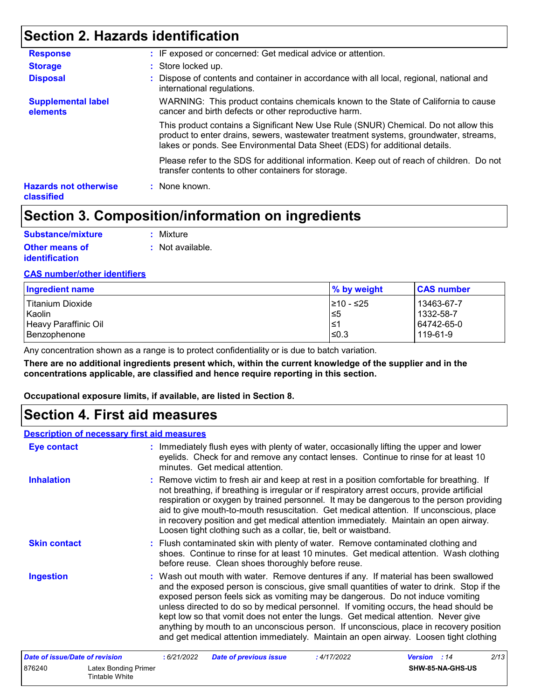### **Section 2. Hazards identification**

| <b>Response</b>                            | : IF exposed or concerned: Get medical advice or attention.                                                                                                                                                                                               |
|--------------------------------------------|-----------------------------------------------------------------------------------------------------------------------------------------------------------------------------------------------------------------------------------------------------------|
| <b>Storage</b>                             | : Store locked up.                                                                                                                                                                                                                                        |
| <b>Disposal</b>                            | : Dispose of contents and container in accordance with all local, regional, national and<br>international regulations.                                                                                                                                    |
| <b>Supplemental label</b><br>elements      | WARNING: This product contains chemicals known to the State of California to cause<br>cancer and birth defects or other reproductive harm.                                                                                                                |
|                                            | This product contains a Significant New Use Rule (SNUR) Chemical. Do not allow this<br>product to enter drains, sewers, wastewater treatment systems, groundwater, streams,<br>lakes or ponds. See Environmental Data Sheet (EDS) for additional details. |
|                                            | Please refer to the SDS for additional information. Keep out of reach of children. Do not<br>transfer contents to other containers for storage.                                                                                                           |
| <b>Hazards not otherwise</b><br>classified | : None known.                                                                                                                                                                                                                                             |

### **Section 3. Composition/information on ingredients**

| Substance/mixture     | : Mixture        |
|-----------------------|------------------|
| <b>Other means of</b> | : Not available. |
| <i>identification</i> |                  |

#### **CAS number/other identifiers**

| <b>Ingredient name</b> | $\%$ by weight | <b>CAS number</b> |
|------------------------|----------------|-------------------|
| Titanium Dioxide       | I≥10 - ≤25     | 13463-67-7        |
| Kaolin                 | l≤5            | 1332-58-7         |
| Heavy Paraffinic Oil   | l≤′            | 64742-65-0        |
| Benzophenone           | l≤0.3          | l 119-61-9        |

Any concentration shown as a range is to protect confidentiality or is due to batch variation.

**There are no additional ingredients present which, within the current knowledge of the supplier and in the concentrations applicable, are classified and hence require reporting in this section.**

**Occupational exposure limits, if available, are listed in Section 8.**

### **Section 4. First aid measures**

#### **Description of necessary first aid measures**

| Eye contact                           | : Immediately flush eyes with plenty of water, occasionally lifting the upper and lower<br>eyelids. Check for and remove any contact lenses. Continue to rinse for at least 10<br>minutes. Get medical attention.                                                                                                                                                                                                                                                                                                                                                                                                                    |
|---------------------------------------|--------------------------------------------------------------------------------------------------------------------------------------------------------------------------------------------------------------------------------------------------------------------------------------------------------------------------------------------------------------------------------------------------------------------------------------------------------------------------------------------------------------------------------------------------------------------------------------------------------------------------------------|
| <b>Inhalation</b>                     | : Remove victim to fresh air and keep at rest in a position comfortable for breathing. If<br>not breathing, if breathing is irregular or if respiratory arrest occurs, provide artificial<br>respiration or oxygen by trained personnel. It may be dangerous to the person providing<br>aid to give mouth-to-mouth resuscitation. Get medical attention. If unconscious, place<br>in recovery position and get medical attention immediately. Maintain an open airway.<br>Loosen tight clothing such as a collar, tie, belt or waistband.                                                                                            |
| <b>Skin contact</b>                   | : Flush contaminated skin with plenty of water. Remove contaminated clothing and<br>shoes. Continue to rinse for at least 10 minutes. Get medical attention. Wash clothing<br>before reuse. Clean shoes thoroughly before reuse.                                                                                                                                                                                                                                                                                                                                                                                                     |
| <b>Ingestion</b>                      | : Wash out mouth with water. Remove dentures if any. If material has been swallowed<br>and the exposed person is conscious, give small quantities of water to drink. Stop if the<br>exposed person feels sick as vomiting may be dangerous. Do not induce vomiting<br>unless directed to do so by medical personnel. If vomiting occurs, the head should be<br>kept low so that vomit does not enter the lungs. Get medical attention. Never give<br>anything by mouth to an unconscious person. If unconscious, place in recovery position<br>and get medical attention immediately. Maintain an open airway. Loosen tight clothing |
| <b>Date of issue/Date of revision</b> | 2/13<br><b>Date of previous issue</b><br>:4/17/2022<br>:6/21/2022<br><b>Version</b><br>: 14                                                                                                                                                                                                                                                                                                                                                                                                                                                                                                                                          |

| 876240 | Latex Bonding Primer | SHW-85-NA-GHS-US |
|--------|----------------------|------------------|
|        | Tintable White       |                  |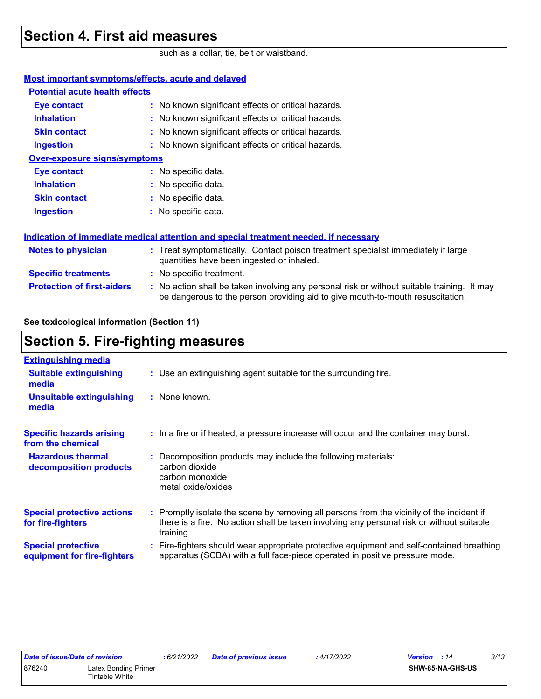### **Section 4. First aid measures**

such as a collar, tie, belt or waistband.

| <b>Most important symptoms/effects, acute and delayed</b> |                                                                                                                                                                               |
|-----------------------------------------------------------|-------------------------------------------------------------------------------------------------------------------------------------------------------------------------------|
| <b>Potential acute health effects</b>                     |                                                                                                                                                                               |
| <b>Eye contact</b>                                        | : No known significant effects or critical hazards.                                                                                                                           |
| <b>Inhalation</b>                                         | : No known significant effects or critical hazards.                                                                                                                           |
| <b>Skin contact</b>                                       | : No known significant effects or critical hazards.                                                                                                                           |
| <b>Ingestion</b>                                          | : No known significant effects or critical hazards.                                                                                                                           |
| <b>Over-exposure signs/symptoms</b>                       |                                                                                                                                                                               |
| <b>Eye contact</b>                                        | : No specific data.                                                                                                                                                           |
| <b>Inhalation</b>                                         | : No specific data.                                                                                                                                                           |
| <b>Skin contact</b>                                       | : No specific data.                                                                                                                                                           |
| <b>Ingestion</b>                                          | : No specific data.                                                                                                                                                           |
|                                                           | Indication of immediate medical attention and special treatment needed, if necessary                                                                                          |
| <b>Notes to physician</b>                                 | : Treat symptomatically. Contact poison treatment specialist immediately if large<br>quantities have been ingested or inhaled.                                                |
| <b>Specific treatments</b>                                | : No specific treatment.                                                                                                                                                      |
| <b>Protection of first-aiders</b>                         | : No action shall be taken involving any personal risk or without suitable training. It may<br>be dangerous to the person providing aid to give mouth-to-mouth resuscitation. |
|                                                           |                                                                                                                                                                               |

**See toxicological information (Section 11)**

### **Section 5. Fire-fighting measures**

| <b>Extinguishing media</b>                               |                                                                                                                                                                                                     |
|----------------------------------------------------------|-----------------------------------------------------------------------------------------------------------------------------------------------------------------------------------------------------|
| <b>Suitable extinguishing</b><br>media                   | : Use an extinguishing agent suitable for the surrounding fire.                                                                                                                                     |
| <b>Unsuitable extinguishing</b><br>media                 | : None known.                                                                                                                                                                                       |
| <b>Specific hazards arising</b><br>from the chemical     | : In a fire or if heated, a pressure increase will occur and the container may burst.                                                                                                               |
| <b>Hazardous thermal</b><br>decomposition products       | Decomposition products may include the following materials:<br>carbon dioxide<br>carbon monoxide<br>metal oxide/oxides                                                                              |
| <b>Special protective actions</b><br>for fire-fighters   | : Promptly isolate the scene by removing all persons from the vicinity of the incident if<br>there is a fire. No action shall be taken involving any personal risk or without suitable<br>training. |
| <b>Special protective</b><br>equipment for fire-fighters | : Fire-fighters should wear appropriate protective equipment and self-contained breathing<br>apparatus (SCBA) with a full face-piece operated in positive pressure mode.                            |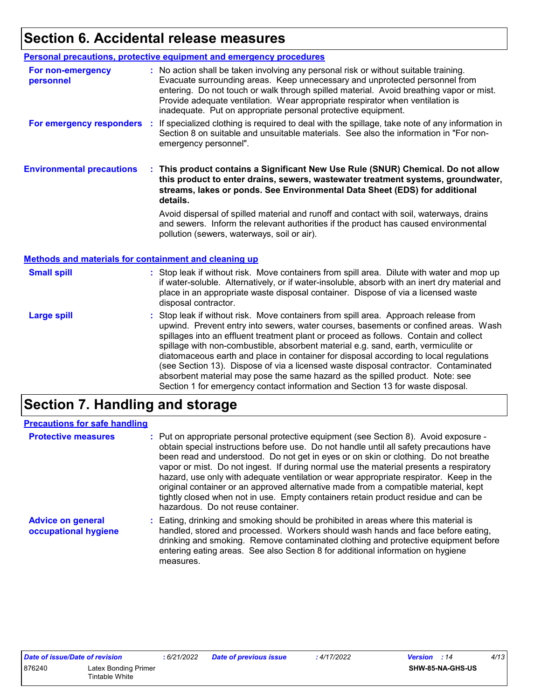## **Section 6. Accidental release measures**

|                                                              | Personal precautions, protective equipment and emergency procedures                                                                                                                                                                                                                                                                                                                                                                                                                                                                                                                                                      |
|--------------------------------------------------------------|--------------------------------------------------------------------------------------------------------------------------------------------------------------------------------------------------------------------------------------------------------------------------------------------------------------------------------------------------------------------------------------------------------------------------------------------------------------------------------------------------------------------------------------------------------------------------------------------------------------------------|
| For non-emergency<br>personnel                               | : No action shall be taken involving any personal risk or without suitable training.<br>Evacuate surrounding areas. Keep unnecessary and unprotected personnel from<br>entering. Do not touch or walk through spilled material. Avoid breathing vapor or mist.<br>Provide adequate ventilation. Wear appropriate respirator when ventilation is<br>inadequate. Put on appropriate personal protective equipment.                                                                                                                                                                                                         |
| For emergency responders                                     | If specialized clothing is required to deal with the spillage, take note of any information in<br>÷.<br>Section 8 on suitable and unsuitable materials. See also the information in "For non-<br>emergency personnel".                                                                                                                                                                                                                                                                                                                                                                                                   |
| <b>Environmental precautions</b>                             | : This product contains a Significant New Use Rule (SNUR) Chemical. Do not allow<br>this product to enter drains, sewers, wastewater treatment systems, groundwater,<br>streams, lakes or ponds. See Environmental Data Sheet (EDS) for additional<br>details.                                                                                                                                                                                                                                                                                                                                                           |
|                                                              | Avoid dispersal of spilled material and runoff and contact with soil, waterways, drains<br>and sewers. Inform the relevant authorities if the product has caused environmental<br>pollution (sewers, waterways, soil or air).                                                                                                                                                                                                                                                                                                                                                                                            |
| <b>Methods and materials for containment and cleaning up</b> |                                                                                                                                                                                                                                                                                                                                                                                                                                                                                                                                                                                                                          |
| <b>Small spill</b>                                           | : Stop leak if without risk. Move containers from spill area. Dilute with water and mop up<br>if water-soluble. Alternatively, or if water-insoluble, absorb with an inert dry material and<br>place in an appropriate waste disposal container. Dispose of via a licensed waste<br>disposal contractor.                                                                                                                                                                                                                                                                                                                 |
| <b>Large spill</b>                                           | Stop leak if without risk. Move containers from spill area. Approach release from<br>upwind. Prevent entry into sewers, water courses, basements or confined areas. Wash<br>spillages into an effluent treatment plant or proceed as follows. Contain and collect<br>spillage with non-combustible, absorbent material e.g. sand, earth, vermiculite or<br>diatomaceous earth and place in container for disposal according to local regulations<br>(see Section 13). Dispose of via a licensed waste disposal contractor. Contaminated<br>absorbent material may pose the same hazard as the spilled product. Note: see |

### **Section 7. Handling and storage**

| <b>Precautions for safe handling</b>             |                                                                                                                                                                                                                                                                                                                                                                                                                                                                                                                                                                                                                                                                               |
|--------------------------------------------------|-------------------------------------------------------------------------------------------------------------------------------------------------------------------------------------------------------------------------------------------------------------------------------------------------------------------------------------------------------------------------------------------------------------------------------------------------------------------------------------------------------------------------------------------------------------------------------------------------------------------------------------------------------------------------------|
| <b>Protective measures</b>                       | : Put on appropriate personal protective equipment (see Section 8). Avoid exposure -<br>obtain special instructions before use. Do not handle until all safety precautions have<br>been read and understood. Do not get in eyes or on skin or clothing. Do not breathe<br>vapor or mist. Do not ingest. If during normal use the material presents a respiratory<br>hazard, use only with adequate ventilation or wear appropriate respirator. Keep in the<br>original container or an approved alternative made from a compatible material, kept<br>tightly closed when not in use. Empty containers retain product residue and can be<br>hazardous. Do not reuse container. |
| <b>Advice on general</b><br>occupational hygiene | : Eating, drinking and smoking should be prohibited in areas where this material is<br>handled, stored and processed. Workers should wash hands and face before eating,<br>drinking and smoking. Remove contaminated clothing and protective equipment before<br>entering eating areas. See also Section 8 for additional information on hygiene<br>measures.                                                                                                                                                                                                                                                                                                                 |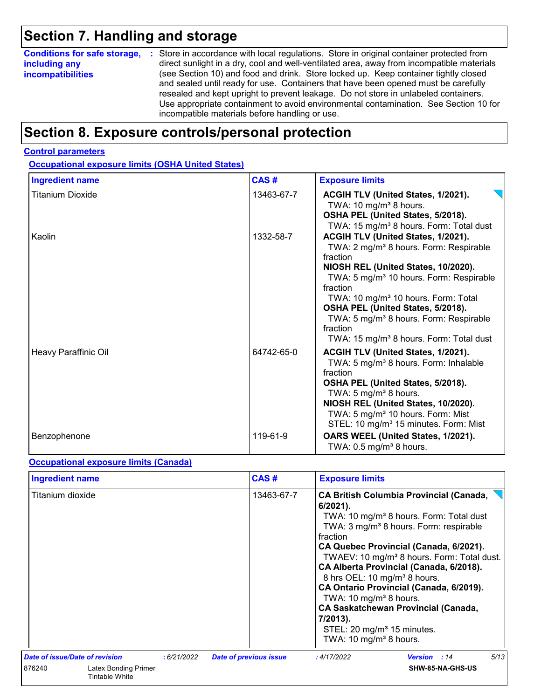# **Section 7. Handling and storage**

| <b>Conditions for safe storage,</b> | : Store in accordance with local regulations. Store in original container protected from                                                                                  |
|-------------------------------------|---------------------------------------------------------------------------------------------------------------------------------------------------------------------------|
| including any                       | direct sunlight in a dry, cool and well-ventilated area, away from incompatible materials                                                                                 |
| <b>incompatibilities</b>            | (see Section 10) and food and drink. Store locked up. Keep container tightly closed<br>and sealed until ready for use. Containers that have been opened must be carefully |
|                                     | resealed and kept upright to prevent leakage. Do not store in unlabeled containers.                                                                                       |
|                                     | Use appropriate containment to avoid environmental contamination. See Section 10 for                                                                                      |
|                                     | incompatible materials before handling or use.                                                                                                                            |

### **Section 8. Exposure controls/personal protection**

#### **Control parameters**

#### **Occupational exposure limits (OSHA United States)**

| <b>Ingredient name</b>  | CAS#       | <b>Exposure limits</b>                                                                                                                                                                                                                                                                                                                                                                                                          |
|-------------------------|------------|---------------------------------------------------------------------------------------------------------------------------------------------------------------------------------------------------------------------------------------------------------------------------------------------------------------------------------------------------------------------------------------------------------------------------------|
| <b>Titanium Dioxide</b> | 13463-67-7 | ACGIH TLV (United States, 1/2021).<br>TWA: 10 mg/m <sup>3</sup> 8 hours.<br>OSHA PEL (United States, 5/2018).<br>TWA: 15 mg/m <sup>3</sup> 8 hours. Form: Total dust                                                                                                                                                                                                                                                            |
| Kaolin                  | 1332-58-7  | ACGIH TLV (United States, 1/2021).<br>TWA: 2 mg/m <sup>3</sup> 8 hours. Form: Respirable<br>fraction<br>NIOSH REL (United States, 10/2020).<br>TWA: 5 mg/m <sup>3</sup> 10 hours. Form: Respirable<br>fraction<br>TWA: 10 mg/m <sup>3</sup> 10 hours. Form: Total<br>OSHA PEL (United States, 5/2018).<br>TWA: 5 mg/m <sup>3</sup> 8 hours. Form: Respirable<br>fraction<br>TWA: 15 mg/m <sup>3</sup> 8 hours. Form: Total dust |
| Heavy Paraffinic Oil    | 64742-65-0 | ACGIH TLV (United States, 1/2021).<br>TWA: 5 mg/m <sup>3</sup> 8 hours. Form: Inhalable<br>fraction<br>OSHA PEL (United States, 5/2018).<br>TWA: 5 mg/m <sup>3</sup> 8 hours.<br>NIOSH REL (United States, 10/2020).<br>TWA: 5 mg/m <sup>3</sup> 10 hours. Form: Mist<br>STEL: 10 mg/m <sup>3</sup> 15 minutes. Form: Mist                                                                                                      |
| Benzophenone            | 119-61-9   | OARS WEEL (United States, 1/2021).<br>TWA: $0.5$ mg/m <sup>3</sup> 8 hours.                                                                                                                                                                                                                                                                                                                                                     |

#### **Occupational exposure limits (Canada)**

| <b>Ingredient name</b>                                  |            | CAS#                          | <b>Exposure limits</b>                                                                                                                                                                                                                                                                                                                                                                                                                                                                                                                                                                                       |
|---------------------------------------------------------|------------|-------------------------------|--------------------------------------------------------------------------------------------------------------------------------------------------------------------------------------------------------------------------------------------------------------------------------------------------------------------------------------------------------------------------------------------------------------------------------------------------------------------------------------------------------------------------------------------------------------------------------------------------------------|
| Titanium dioxide                                        |            | 13463-67-7                    | <b>CA British Columbia Provincial (Canada,</b><br>$6/2021$ ).<br>TWA: 10 mg/m <sup>3</sup> 8 hours. Form: Total dust<br>TWA: 3 mg/m <sup>3</sup> 8 hours. Form: respirable<br>fraction<br>CA Quebec Provincial (Canada, 6/2021).<br>TWAEV: 10 mg/m <sup>3</sup> 8 hours. Form: Total dust.<br>CA Alberta Provincial (Canada, 6/2018).<br>8 hrs OEL: 10 mg/m <sup>3</sup> 8 hours.<br>CA Ontario Provincial (Canada, 6/2019).<br>TWA: 10 mg/m <sup>3</sup> 8 hours.<br><b>CA Saskatchewan Provincial (Canada,</b><br>7/2013).<br>STEL: 20 mg/m <sup>3</sup> 15 minutes.<br>TWA: 10 mg/m <sup>3</sup> 8 hours. |
| Date of issue/Date of revision                          | :6/21/2022 | <b>Date of previous issue</b> | 5/13<br>: 4/17/2022<br><b>Version</b> : 14                                                                                                                                                                                                                                                                                                                                                                                                                                                                                                                                                                   |
| 876240<br>Latex Bonding Primer<br><b>Tintable White</b> |            |                               | SHW-85-NA-GHS-US                                                                                                                                                                                                                                                                                                                                                                                                                                                                                                                                                                                             |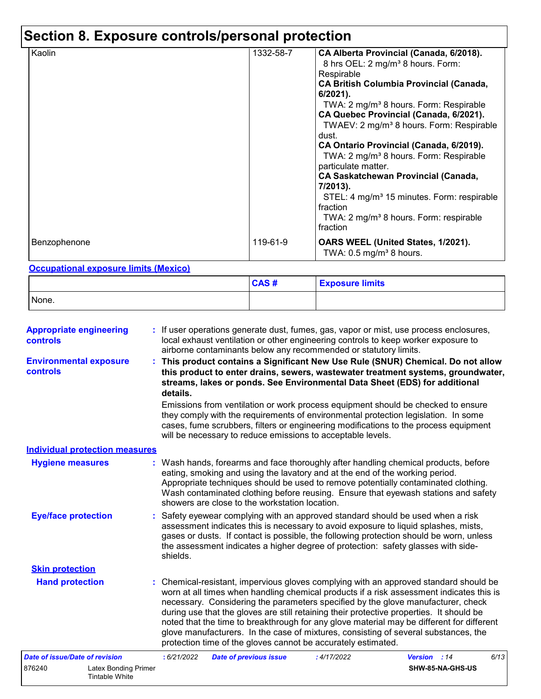# **Section 8. Exposure controls/personal protection**

| Kaolin       | 1332-58-7 | CA Alberta Provincial (Canada, 6/2018).<br>8 hrs OEL: 2 mg/m <sup>3</sup> 8 hours. Form:<br>Respirable<br><b>CA British Columbia Provincial (Canada,</b><br>$6/2021$ ).<br>TWA: 2 mg/m <sup>3</sup> 8 hours. Form: Respirable<br>CA Quebec Provincial (Canada, 6/2021).<br>TWAEV: 2 mg/m <sup>3</sup> 8 hours. Form: Respirable<br>dust.<br>CA Ontario Provincial (Canada, 6/2019).<br>TWA: 2 mg/m <sup>3</sup> 8 hours. Form: Respirable<br>particulate matter.<br><b>CA Saskatchewan Provincial (Canada,</b><br>7/2013).<br>STEL: 4 mg/m <sup>3</sup> 15 minutes. Form: respirable<br>fraction<br>TWA: 2 mg/m <sup>3</sup> 8 hours. Form: respirable<br>fraction |
|--------------|-----------|--------------------------------------------------------------------------------------------------------------------------------------------------------------------------------------------------------------------------------------------------------------------------------------------------------------------------------------------------------------------------------------------------------------------------------------------------------------------------------------------------------------------------------------------------------------------------------------------------------------------------------------------------------------------|
| Benzophenone | 119-61-9  | OARS WEEL (United States, 1/2021).<br>TWA: $0.5 \text{ mg/m}^3$ 8 hours.                                                                                                                                                                                                                                                                                                                                                                                                                                                                                                                                                                                           |

#### **Occupational exposure limits (Mexico)**

Tintable White

|       | CAS# | <b>Exposure limits</b> |
|-------|------|------------------------|
| None. |      |                        |

| <b>Appropriate engineering</b><br>controls       | : If user operations generate dust, fumes, gas, vapor or mist, use process enclosures,<br>local exhaust ventilation or other engineering controls to keep worker exposure to<br>airborne contaminants below any recommended or statutory limits.                                                                                                                                                                                                                                                                                                                                                                       |
|--------------------------------------------------|------------------------------------------------------------------------------------------------------------------------------------------------------------------------------------------------------------------------------------------------------------------------------------------------------------------------------------------------------------------------------------------------------------------------------------------------------------------------------------------------------------------------------------------------------------------------------------------------------------------------|
| <b>Environmental exposure</b><br><b>controls</b> | This product contains a Significant New Use Rule (SNUR) Chemical. Do not allow<br>this product to enter drains, sewers, wastewater treatment systems, groundwater,<br>streams, lakes or ponds. See Environmental Data Sheet (EDS) for additional<br>details.                                                                                                                                                                                                                                                                                                                                                           |
|                                                  | Emissions from ventilation or work process equipment should be checked to ensure<br>they comply with the requirements of environmental protection legislation. In some<br>cases, fume scrubbers, filters or engineering modifications to the process equipment<br>will be necessary to reduce emissions to acceptable levels.                                                                                                                                                                                                                                                                                          |
| <b>Individual protection measures</b>            |                                                                                                                                                                                                                                                                                                                                                                                                                                                                                                                                                                                                                        |
| <b>Hygiene measures</b>                          | : Wash hands, forearms and face thoroughly after handling chemical products, before<br>eating, smoking and using the lavatory and at the end of the working period.<br>Appropriate techniques should be used to remove potentially contaminated clothing.<br>Wash contaminated clothing before reusing. Ensure that eyewash stations and safety<br>showers are close to the workstation location.                                                                                                                                                                                                                      |
| <b>Eye/face protection</b>                       | : Safety eyewear complying with an approved standard should be used when a risk<br>assessment indicates this is necessary to avoid exposure to liquid splashes, mists,<br>gases or dusts. If contact is possible, the following protection should be worn, unless<br>the assessment indicates a higher degree of protection: safety glasses with side-<br>shields.                                                                                                                                                                                                                                                     |
| <b>Skin protection</b>                           |                                                                                                                                                                                                                                                                                                                                                                                                                                                                                                                                                                                                                        |
| <b>Hand protection</b>                           | : Chemical-resistant, impervious gloves complying with an approved standard should be<br>worn at all times when handling chemical products if a risk assessment indicates this is<br>necessary. Considering the parameters specified by the glove manufacturer, check<br>during use that the gloves are still retaining their protective properties. It should be<br>noted that the time to breakthrough for any glove material may be different for different<br>glove manufacturers. In the case of mixtures, consisting of several substances, the<br>protection time of the gloves cannot be accurately estimated. |
| <b>Date of issue/Date of revision</b>            | 6/13<br>: 6/21/2022<br><b>Date of previous issue</b><br>:4/17/2022<br><b>Version</b> : 14                                                                                                                                                                                                                                                                                                                                                                                                                                                                                                                              |
| 876240<br><b>Latex Bonding Primer</b>            | SHW-85-NA-GHS-US                                                                                                                                                                                                                                                                                                                                                                                                                                                                                                                                                                                                       |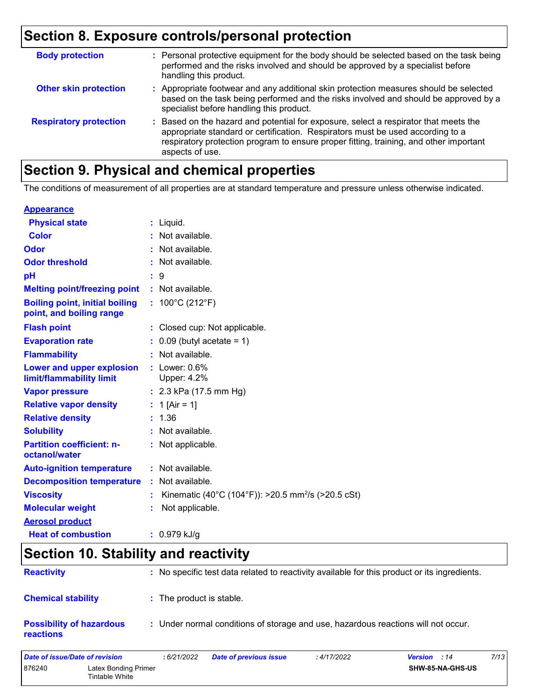### **Section 8. Exposure controls/personal protection**

| <b>Body protection</b>        | : Personal protective equipment for the body should be selected based on the task being<br>performed and the risks involved and should be approved by a specialist before<br>handling this product.                                                                                 |
|-------------------------------|-------------------------------------------------------------------------------------------------------------------------------------------------------------------------------------------------------------------------------------------------------------------------------------|
| <b>Other skin protection</b>  | : Appropriate footwear and any additional skin protection measures should be selected<br>based on the task being performed and the risks involved and should be approved by a<br>specialist before handling this product.                                                           |
| <b>Respiratory protection</b> | : Based on the hazard and potential for exposure, select a respirator that meets the<br>appropriate standard or certification. Respirators must be used according to a<br>respiratory protection program to ensure proper fitting, training, and other important<br>aspects of use. |

# **Section 9. Physical and chemical properties**

The conditions of measurement of all properties are at standard temperature and pressure unless otherwise indicated.

#### **Appearance**

| <b>Physical state</b>                                             | $:$ Liquid.                                                    |
|-------------------------------------------------------------------|----------------------------------------------------------------|
| <b>Color</b>                                                      | : Not available.                                               |
| Odor                                                              | : Not available.                                               |
| <b>Odor threshold</b>                                             | : Not available.                                               |
| рH                                                                | :9                                                             |
| <b>Melting point/freezing point</b>                               | : Not available.                                               |
| <b>Boiling point, initial boiling</b><br>point, and boiling range | : $100^{\circ}$ C (212 $^{\circ}$ F)                           |
| <b>Flash point</b>                                                | : Closed cup: Not applicable.                                  |
| <b>Evaporation rate</b>                                           | $\therefore$ 0.09 (butyl acetate = 1)                          |
| <b>Flammability</b>                                               | : Not available.                                               |
| Lower and upper explosion<br>limit/flammability limit             | $:$ Lower: $0.6\%$<br>Upper: 4.2%                              |
| <b>Vapor pressure</b>                                             | : $2.3$ kPa (17.5 mm Hg)                                       |
| <b>Relative vapor density</b>                                     | : 1 [Air = 1]                                                  |
| <b>Relative density</b>                                           | : 1.36                                                         |
| <b>Solubility</b>                                                 | : Not available.                                               |
| <b>Partition coefficient: n-</b><br>octanol/water                 | : Not applicable.                                              |
| <b>Auto-ignition temperature</b>                                  | : Not available.                                               |
| <b>Decomposition temperature</b>                                  | : Not available.                                               |
| <b>Viscosity</b>                                                  | Kinematic (40°C (104°F)): >20.5 mm <sup>2</sup> /s (>20.5 cSt) |
| <b>Molecular weight</b>                                           | Not applicable.                                                |
| <b>Aerosol product</b>                                            |                                                                |
| <b>Heat of combustion</b>                                         | $: 0.979$ kJ/g                                                 |

### **Section 10. Stability and reactivity**

| <b>Reactivity</b>                            | : No specific test data related to reactivity available for this product or its ingredients. |
|----------------------------------------------|----------------------------------------------------------------------------------------------|
| <b>Chemical stability</b>                    | : The product is stable.                                                                     |
| <b>Possibility of hazardous</b><br>reactions | : Under normal conditions of storage and use, hazardous reactions will not occur.            |

| Date of issue/Date of revision |                                        | 6/21/2022 | <b>Date of previous issue</b> | : 4/17/2022 | <b>Version</b> : 14 |                  | 7/13 |
|--------------------------------|----------------------------------------|-----------|-------------------------------|-------------|---------------------|------------------|------|
| 876240                         | Latex Bonding Primer<br>Tintable White |           |                               |             |                     | SHW-85-NA-GHS-US |      |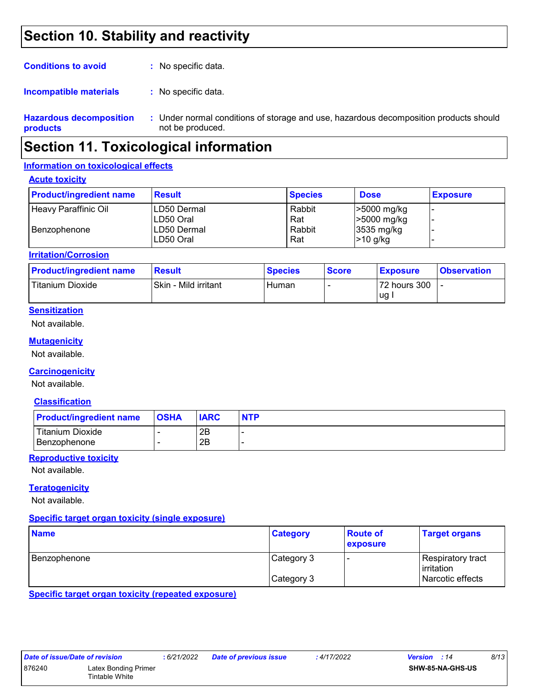### **Section 10. Stability and reactivity**

| <b>Conditions to avoid</b> | : No specific data.                  |
|----------------------------|--------------------------------------|
| Incompatible materials     | : No specific data.                  |
| Hazardous docomposition    | . Under normal conditions of storage |

omposition **products** Under normal conditions of storage and use, hazardous decomposition products should **:** not be produced.

### **Section 11. Toxicological information**

#### **Information on toxicological effects**

#### **Acute toxicity**

| <b>Product/ingredient name</b> | <b>Result</b> | <b>Species</b> | <b>Dose</b> | <b>Exposure</b> |
|--------------------------------|---------------|----------------|-------------|-----------------|
| Heavy Paraffinic Oil           | LD50 Dermal   | Rabbit         | >5000 mg/kg |                 |
|                                | ILD50 Oral    | Rat            | >5000 mg/kg |                 |
| Benzophenone                   | LD50 Dermal   | Rabbit         | 3535 mg/kg  |                 |
|                                | LD50 Oral     | Rat            | >10 g/kg    |                 |

#### **Irritation/Corrosion**

| <b>Product/ingredient name</b> | <b>Result</b>        | <b>Species</b> | <b>Score</b> | <b>Exposure</b> | <b>Observation</b> |
|--------------------------------|----------------------|----------------|--------------|-----------------|--------------------|
| Titanium Dioxide               | Skin - Mild irritant | Human          |              | 72 hours 300    |                    |
|                                |                      |                |              | ug              |                    |

#### **Sensitization**

Not available.

#### **Mutagenicity**

Not available.

#### **Carcinogenicity**

Not available.

#### **Classification**

| <b>Product/ingredient name</b> | <b>OSHA</b> | <b>IARC</b> | <b>NTP</b> |
|--------------------------------|-------------|-------------|------------|
| Titanium Dioxide               |             | 2B          |            |
| l Benzophenone                 |             | 2B          |            |

#### **Reproductive toxicity**

Not available.

#### **Teratogenicity**

Not available.

#### **Specific target organ toxicity (single exposure)**

| <b>Name</b>  | <b>Category</b> | <b>Route of</b><br>exposure | <b>Target organs</b>            |
|--------------|-----------------|-----------------------------|---------------------------------|
| Benzophenone | Category 3      |                             | Respiratory tract<br>irritation |
|              | Category 3      |                             | Narcotic effects                |

**Specific target organ toxicity (repeated exposure)**

*Date of issue/Date of revision* **:** *6/21/2022 Date of previous issue : 4/17/2022 Version : 14 8/13* 876240 Latex Bonding Primer Tintable White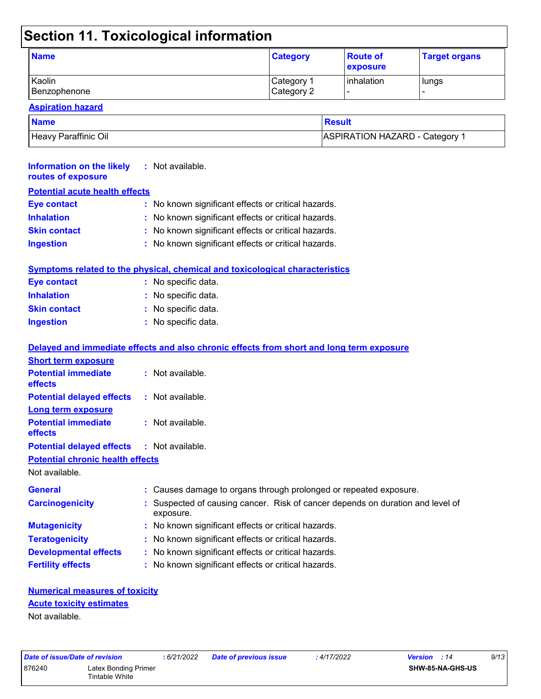# **Section 11. Toxicological information**

| <b>Name</b>  | <b>Category</b> | <b>Route of</b><br><b>exposure</b> | <b>Target organs</b> |
|--------------|-----------------|------------------------------------|----------------------|
| Kaolin       | Category 1      | <b>l</b> inhalation                | lungs                |
| Benzophenone | Category 2      |                                    | -                    |

#### **Aspiration hazard**

| <b>Name</b>          | Result                       |
|----------------------|------------------------------|
| Heavy Paraffinic Oil | ASPIRATION HAZARD - Category |

| <b>Information on the likely</b><br>routes of exposure | : Not available.                                                                          |
|--------------------------------------------------------|-------------------------------------------------------------------------------------------|
| <b>Potential acute health effects</b>                  |                                                                                           |
| <b>Eye contact</b>                                     | : No known significant effects or critical hazards.                                       |
| <b>Inhalation</b>                                      | : No known significant effects or critical hazards.                                       |
| <b>Skin contact</b>                                    | : No known significant effects or critical hazards.                                       |
| <b>Ingestion</b>                                       | : No known significant effects or critical hazards.                                       |
|                                                        | Symptoms related to the physical, chemical and toxicological characteristics              |
| <b>Eye contact</b>                                     | : No specific data.                                                                       |
| <b>Inhalation</b>                                      | No specific data.                                                                         |
| <b>Skin contact</b>                                    | No specific data.                                                                         |
| <b>Ingestion</b>                                       | : No specific data.                                                                       |
|                                                        | Delayed and immediate effects and also chronic effects from short and long term exposure  |
| <b>Short term exposure</b>                             |                                                                                           |
| <b>Potential immediate</b><br>effects                  | : Not available.                                                                          |
| <b>Potential delayed effects</b>                       | : Not available.                                                                          |
| Long term exposure                                     |                                                                                           |
| <b>Potential immediate</b><br>effects                  | : Not available.                                                                          |
| <b>Potential delayed effects</b>                       | : Not available.                                                                          |
| <b>Potential chronic health effects</b>                |                                                                                           |
| Not available.                                         |                                                                                           |
| General                                                | : Causes damage to organs through prolonged or repeated exposure.                         |
| <b>Carcinogenicity</b>                                 | Suspected of causing cancer. Risk of cancer depends on duration and level of<br>exposure. |
| <b>Mutagenicity</b>                                    | No known significant effects or critical hazards.                                         |
| <b>Teratogenicity</b>                                  | No known significant effects or critical hazards.                                         |
| <b>Developmental effects</b>                           | : No known significant effects or critical hazards.                                       |
| <b>Fertility effects</b>                               | No known significant effects or critical hazards.                                         |
|                                                        |                                                                                           |

#### **Numerical measures of toxicity** Not available. **Acute toxicity estimates**

|        | Date of issue/Date of revision         | :6/ |
|--------|----------------------------------------|-----|
| 876240 | Latex Bonding Primer<br>Tintable White |     |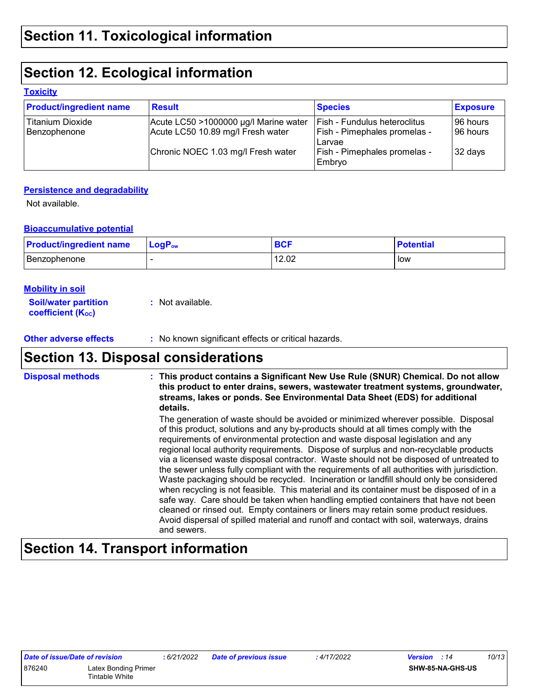## **Section 12. Ecological information**

#### **Toxicity**

| <b>Product/ingredient name</b>          | <b>Result</b>                                                              | <b>Species</b>                                               | <b>Exposure</b>        |
|-----------------------------------------|----------------------------------------------------------------------------|--------------------------------------------------------------|------------------------|
| <b>Titanium Dioxide</b><br>Benzophenone | Acute LC50 >1000000 µg/l Marine water<br>Acute LC50 10.89 mg/l Fresh water | Fish - Fundulus heteroclitus<br>Fish - Pimephales promelas - | 196 hours<br>196 hours |
|                                         | Chronic NOEC 1.03 mg/l Fresh water                                         | Larvae<br>Fish - Pimephales promelas -<br>Embryo             | 32 days                |

#### **Persistence and degradability**

Not available.

#### **Bioaccumulative potential**

| <b>Product/ingredient name</b> | $\mathsf{LogP}_\mathsf{ow}$ | <b>BCF</b> | <b>Potential</b> |
|--------------------------------|-----------------------------|------------|------------------|
| Benzophenone                   |                             | 12.02      | low              |

#### **Mobility in soil**

| <b>Soil/water partition</b> | : Not available. |
|-----------------------------|------------------|
| <b>coefficient (Koc)</b>    |                  |

**Other adverse effects** : No known significant effects or critical hazards.

### **Section 13. Disposal considerations**

| <b>Disposal methods</b> | : This product contains a Significant New Use Rule (SNUR) Chemical. Do not allow<br>this product to enter drains, sewers, wastewater treatment systems, groundwater,<br>streams, lakes or ponds. See Environmental Data Sheet (EDS) for additional<br>details.                                                                                                                                                                                                                                                                                                                                                                                                                                                                                                                                                                                                                                                                                                                                                              |
|-------------------------|-----------------------------------------------------------------------------------------------------------------------------------------------------------------------------------------------------------------------------------------------------------------------------------------------------------------------------------------------------------------------------------------------------------------------------------------------------------------------------------------------------------------------------------------------------------------------------------------------------------------------------------------------------------------------------------------------------------------------------------------------------------------------------------------------------------------------------------------------------------------------------------------------------------------------------------------------------------------------------------------------------------------------------|
|                         | The generation of waste should be avoided or minimized wherever possible. Disposal<br>of this product, solutions and any by-products should at all times comply with the<br>requirements of environmental protection and waste disposal legislation and any<br>regional local authority requirements. Dispose of surplus and non-recyclable products<br>via a licensed waste disposal contractor. Waste should not be disposed of untreated to<br>the sewer unless fully compliant with the requirements of all authorities with jurisdiction.<br>Waste packaging should be recycled. Incineration or landfill should only be considered<br>when recycling is not feasible. This material and its container must be disposed of in a<br>safe way. Care should be taken when handling emptied containers that have not been<br>cleaned or rinsed out. Empty containers or liners may retain some product residues.<br>Avoid dispersal of spilled material and runoff and contact with soil, waterways, drains<br>and sewers. |

## **Section 14. Transport information**

| <i>Date of Issue/Date of revision</i> |                      |  |
|---------------------------------------|----------------------|--|
| 876240                                | Latex Bonding Primer |  |
|                                       | Tintable White       |  |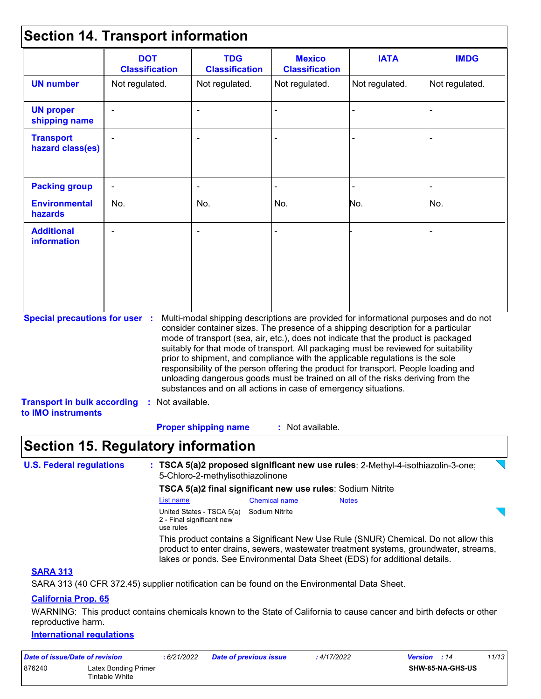### **Section 14. Transport information**

|                                                                             | <b>DOT</b><br><b>Classification</b> | <b>TDG</b><br><b>Classification</b>                                                                                                                                                                                                                                                                                                                                                                                                                                                                                                                                                                                                                                                                     | <b>Mexico</b><br><b>Classification</b> | <b>IATA</b>    | <b>IMDG</b>    |  |
|-----------------------------------------------------------------------------|-------------------------------------|---------------------------------------------------------------------------------------------------------------------------------------------------------------------------------------------------------------------------------------------------------------------------------------------------------------------------------------------------------------------------------------------------------------------------------------------------------------------------------------------------------------------------------------------------------------------------------------------------------------------------------------------------------------------------------------------------------|----------------------------------------|----------------|----------------|--|
| <b>UN number</b>                                                            | Not regulated.                      | Not regulated.                                                                                                                                                                                                                                                                                                                                                                                                                                                                                                                                                                                                                                                                                          | Not regulated.                         | Not regulated. | Not regulated. |  |
| <b>UN proper</b><br>shipping name                                           |                                     |                                                                                                                                                                                                                                                                                                                                                                                                                                                                                                                                                                                                                                                                                                         |                                        |                |                |  |
| <b>Transport</b><br>hazard class(es)                                        |                                     |                                                                                                                                                                                                                                                                                                                                                                                                                                                                                                                                                                                                                                                                                                         |                                        |                |                |  |
| <b>Packing group</b>                                                        | $\blacksquare$                      | ۰                                                                                                                                                                                                                                                                                                                                                                                                                                                                                                                                                                                                                                                                                                       |                                        |                |                |  |
| <b>Environmental</b><br>hazards                                             | No.                                 | No.                                                                                                                                                                                                                                                                                                                                                                                                                                                                                                                                                                                                                                                                                                     | No.                                    | No.            | No.            |  |
| <b>Additional</b><br><b>information</b>                                     |                                     |                                                                                                                                                                                                                                                                                                                                                                                                                                                                                                                                                                                                                                                                                                         |                                        |                |                |  |
|                                                                             |                                     |                                                                                                                                                                                                                                                                                                                                                                                                                                                                                                                                                                                                                                                                                                         |                                        |                |                |  |
| <b>Special precautions for user :</b><br><b>Transport in bulk according</b> |                                     | Multi-modal shipping descriptions are provided for informational purposes and do not<br>consider container sizes. The presence of a shipping description for a particular<br>mode of transport (sea, air, etc.), does not indicate that the product is packaged<br>suitably for that mode of transport. All packaging must be reviewed for suitability<br>prior to shipment, and compliance with the applicable regulations is the sole<br>responsibility of the person offering the product for transport. People loading and<br>unloading dangerous goods must be trained on all of the risks deriving from the<br>substances and on all actions in case of emergency situations.<br>: Not available. |                                        |                |                |  |
| to IMO instruments                                                          |                                     |                                                                                                                                                                                                                                                                                                                                                                                                                                                                                                                                                                                                                                                                                                         |                                        |                |                |  |
|                                                                             |                                     | <b>Proper shipping name</b>                                                                                                                                                                                                                                                                                                                                                                                                                                                                                                                                                                                                                                                                             | : Not available.                       |                |                |  |
|                                                                             |                                     | <b>Section 15. Regulatory information</b>                                                                                                                                                                                                                                                                                                                                                                                                                                                                                                                                                                                                                                                               |                                        |                |                |  |
| <b>U.S. Federal regulations</b>                                             |                                     | : TSCA 5(a)2 proposed significant new use rules: 2-Methyl-4-isothiazolin-3-one;<br>5-Chloro-2-methylisothiazolinone                                                                                                                                                                                                                                                                                                                                                                                                                                                                                                                                                                                     |                                        |                |                |  |
|                                                                             |                                     | TSCA 5(a)2 final significant new use rules: Sodium Nitrite<br>List name<br>United States - TSCA 5(a)                                                                                                                                                                                                                                                                                                                                                                                                                                                                                                                                                                                                    | <b>Chemical name</b><br>Sodium Nitrite | <b>Notes</b>   |                |  |

This product contains a Significant New Use Rule (SNUR) Chemical. Do not allow this product to enter drains, sewers, wastewater treatment systems, groundwater, streams, lakes or ponds. See Environmental Data Sheet (EDS) for additional details. use rules

#### **SARA 313**

SARA 313 (40 CFR 372.45) supplier notification can be found on the Environmental Data Sheet.

2 - Final significant new

#### **California Prop. 65**

WARNING: This product contains chemicals known to the State of California to cause cancer and birth defects or other reproductive harm.

#### **International regulations**

| Date of issue/Date of revision |                                        | : 6/21/2022 | <b>Date of previous issue</b> | : 4/17/2022 | 11/13<br><b>Version</b> : 14 |
|--------------------------------|----------------------------------------|-------------|-------------------------------|-------------|------------------------------|
| 876240                         | Latex Bonding Primer<br>Tintable White |             |                               |             | SHW-85-NA-GHS-US             |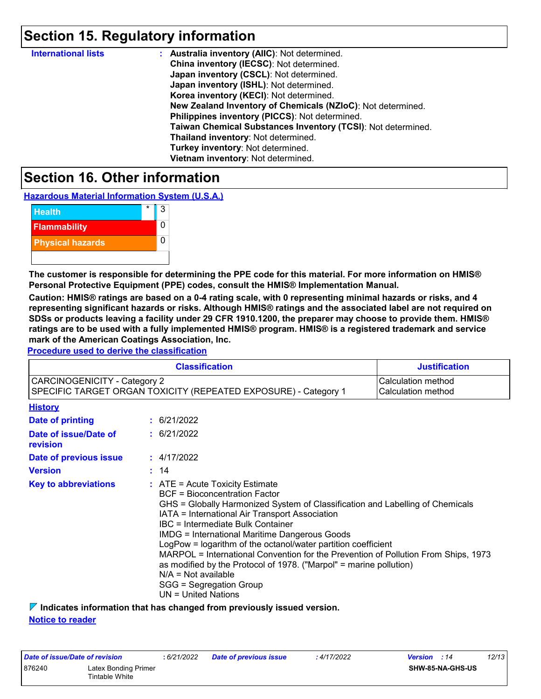### **Section 15. Regulatory information**

| <b>International lists</b> | : Australia inventory (AIIC): Not determined.                |
|----------------------------|--------------------------------------------------------------|
|                            | China inventory (IECSC): Not determined.                     |
|                            | Japan inventory (CSCL): Not determined.                      |
|                            | Japan inventory (ISHL): Not determined.                      |
|                            | Korea inventory (KECI): Not determined.                      |
|                            | New Zealand Inventory of Chemicals (NZIoC): Not determined.  |
|                            | Philippines inventory (PICCS): Not determined.               |
|                            | Taiwan Chemical Substances Inventory (TCSI): Not determined. |
|                            | Thailand inventory: Not determined.                          |
|                            | Turkey inventory: Not determined.                            |
|                            | Vietnam inventory: Not determined.                           |

### **Section 16. Other information**

**Hazardous Material Information System (U.S.A.)**



**The customer is responsible for determining the PPE code for this material. For more information on HMIS® Personal Protective Equipment (PPE) codes, consult the HMIS® Implementation Manual.**

**Caution: HMIS® ratings are based on a 0-4 rating scale, with 0 representing minimal hazards or risks, and 4 representing significant hazards or risks. Although HMIS® ratings and the associated label are not required on SDSs or products leaving a facility under 29 CFR 1910.1200, the preparer may choose to provide them. HMIS® ratings are to be used with a fully implemented HMIS® program. HMIS® is a registered trademark and service mark of the American Coatings Association, Inc.**

**Procedure used to derive the classification**

|                                                                                                        | <b>Classification</b>                                                                                                                                                                                                                                                                                                                                                                                                                                                                                                                                                                                                                                                                                                                                                         | <b>Justification</b> |
|--------------------------------------------------------------------------------------------------------|-------------------------------------------------------------------------------------------------------------------------------------------------------------------------------------------------------------------------------------------------------------------------------------------------------------------------------------------------------------------------------------------------------------------------------------------------------------------------------------------------------------------------------------------------------------------------------------------------------------------------------------------------------------------------------------------------------------------------------------------------------------------------------|----------------------|
| <b>CARCINOGENICITY - Category 2</b><br>SPECIFIC TARGET ORGAN TOXICITY (REPEATED EXPOSURE) - Category 1 | Calculation method<br>Calculation method                                                                                                                                                                                                                                                                                                                                                                                                                                                                                                                                                                                                                                                                                                                                      |                      |
| <b>History</b>                                                                                         |                                                                                                                                                                                                                                                                                                                                                                                                                                                                                                                                                                                                                                                                                                                                                                               |                      |
| <b>Date of printing</b>                                                                                | : 6/21/2022                                                                                                                                                                                                                                                                                                                                                                                                                                                                                                                                                                                                                                                                                                                                                                   |                      |
| Date of issue/Date of<br>revision                                                                      | : 6/21/2022                                                                                                                                                                                                                                                                                                                                                                                                                                                                                                                                                                                                                                                                                                                                                                   |                      |
| Date of previous issue                                                                                 | : 4/17/2022                                                                                                                                                                                                                                                                                                                                                                                                                                                                                                                                                                                                                                                                                                                                                                   |                      |
| <b>Version</b>                                                                                         | : 14                                                                                                                                                                                                                                                                                                                                                                                                                                                                                                                                                                                                                                                                                                                                                                          |                      |
| <b>Key to abbreviations</b>                                                                            | $:$ ATE = Acute Toxicity Estimate<br><b>BCF</b> = Bioconcentration Factor<br>GHS = Globally Harmonized System of Classification and Labelling of Chemicals<br>IATA = International Air Transport Association<br>IBC = Intermediate Bulk Container<br><b>IMDG = International Maritime Dangerous Goods</b><br>LogPow = logarithm of the octanol/water partition coefficient<br>MARPOL = International Convention for the Prevention of Pollution From Ships, 1973<br>as modified by the Protocol of 1978. ("Marpol" = marine pollution)<br>$N/A = Not available$<br>SGG = Segregation Group<br>$UN = United Nations$<br>$\Box$ the distribution of $\ell$ , and only if $\ell$ is the contracted and the contracted between $\ell$ and $\ell$ is the contracted between $\ell$ |                      |

**Indicates information that has changed from previously issued version.**

| Date of issue/Date of revision |                                        | : 6/21/2022 | <b>Date of previous issue</b> | : 4/17/2022 | <b>Version</b> : 14 |                         | 12/13 |
|--------------------------------|----------------------------------------|-------------|-------------------------------|-------------|---------------------|-------------------------|-------|
| 876240                         | Latex Bonding Primer<br>Tintable White |             |                               |             |                     | <b>SHW-85-NA-GHS-US</b> |       |